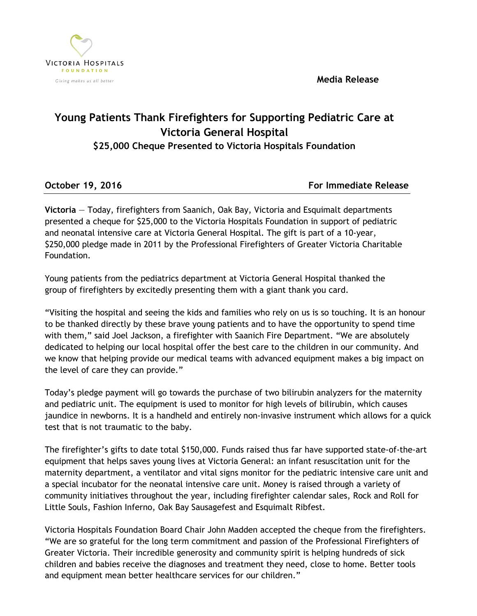**Media Release**



## **Young Patients Thank Firefighters for Supporting Pediatric Care at Victoria General Hospital**

**\$25,000 Cheque Presented to Victoria Hospitals Foundation**

**October 19, 2016 For Immediate Release** 

**Victoria** — Today, firefighters from Saanich, Oak Bay, Victoria and Esquimalt departments presented a cheque for \$25,000 to the Victoria Hospitals Foundation in support of pediatric and neonatal intensive care at Victoria General Hospital. The gift is part of a 10-year, \$250,000 pledge made in 2011 by the Professional Firefighters of Greater Victoria Charitable Foundation.

Young patients from the pediatrics department at Victoria General Hospital thanked the group of firefighters by excitedly presenting them with a giant thank you card.

"Visiting the hospital and seeing the kids and families who rely on us is so touching. It is an honour to be thanked directly by these brave young patients and to have the opportunity to spend time with them," said Joel Jackson, a firefighter with Saanich Fire Department. "We are absolutely dedicated to helping our local hospital offer the best care to the children in our community. And we know that helping provide our medical teams with advanced equipment makes a big impact on the level of care they can provide."

Today's pledge payment will go towards the purchase of two bilirubin analyzers for the maternity and pediatric unit. The equipment is used to monitor for high levels of bilirubin, which causes jaundice in newborns. It is a handheld and entirely non-invasive instrument which allows for a quick test that is not traumatic to the baby.

The firefighter's gifts to date total \$150,000. Funds raised thus far have supported state-of-the-art equipment that helps saves young lives at Victoria General: an infant resuscitation unit for the maternity department, a ventilator and vital signs monitor for the pediatric intensive care unit and a special incubator for the neonatal intensive care unit. Money is raised through a variety of community initiatives throughout the year, including firefighter calendar sales, Rock and Roll for Little Souls, Fashion Inferno, Oak Bay Sausagefest and Esquimalt Ribfest.

Victoria Hospitals Foundation Board Chair John Madden accepted the cheque from the firefighters. "We are so grateful for the long term commitment and passion of the Professional Firefighters of Greater Victoria. Their incredible generosity and community spirit is helping hundreds of sick children and babies receive the diagnoses and treatment they need, close to home. Better tools and equipment mean better healthcare services for our children."